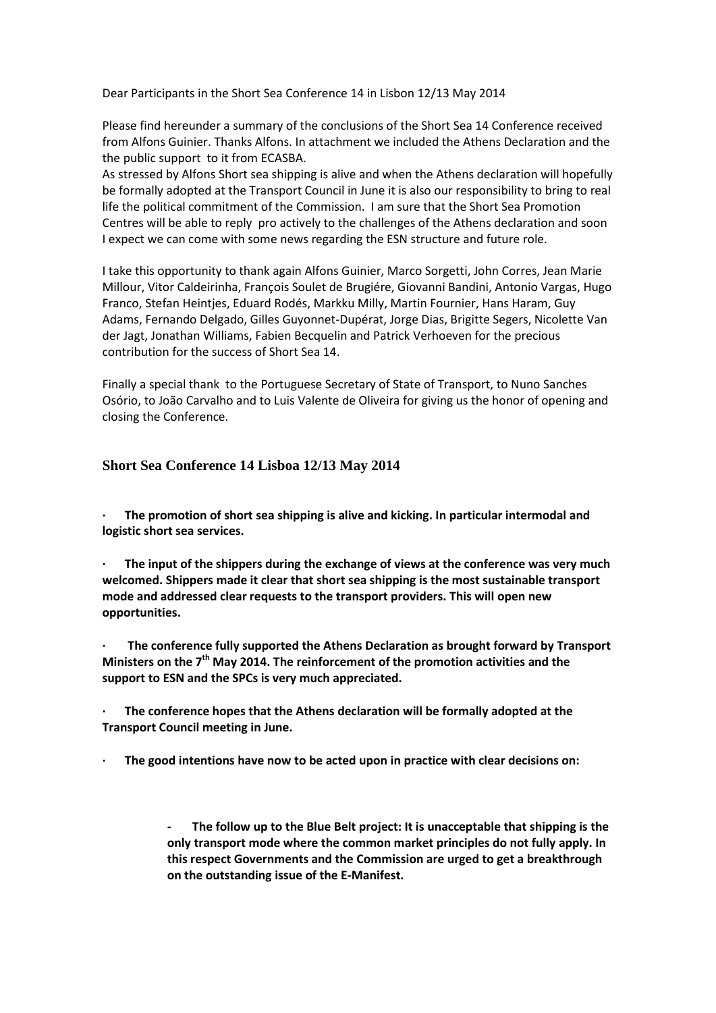Dear Participants in the Short Sea Conference 14 in Lisbon 12/13 May 2014

Please find hereunder a summary of the conclusions of the Short Sea 14 Conference received from Alfons Guinier. Thanks Alfons. In attachment we included the Athens Declaration and the the public support to it from ECASBA.

As stressed by Alfons Short sea shipping is alive and when the Athens declaration will hopefully be formally adopted at the Transport Council in June it is also our responsibility to bring to real life the political commitment of the Commission. I am sure that the Short Sea Promotion Centres will be able to reply pro actively to the challenges of the Athens declaration and soon I expect we can come with some news regarding the ESN structure and future role.

I take this opportunity to thank again Alfons Guinier, Marco Sorgetti, John Corres, Jean Marie Millour, Vitor Caldeirinha, François Soulet de Brugiére, Giovanni Bandini, Antonio Vargas, Hugo Franco, Stefan Heintjes, Eduard Rodés, Markku Milly, Martin Fournier, Hans Haram, Guy Adams, Fernando Delgado, Gilles Guyonnet-Dupérat, Jorge Dias, Brigitte Segers, Nicolette Van der Jagt, Jonathan Williams, Fabien Becquelin and Patrick Verhoeven for the precious contribution for the success of Short Sea 14.

Finally a special thank to the Portuguese Secretary of State of Transport, to Nuno Sanches Osório, to João Carvalho and to Luis Valente de Oliveira for giving us the honor of opening and closing the Conference.

## **Short Sea Conference 14 Lisboa 12/13 May 2014**

**· The promotion of short sea shipping is alive and kicking. In particular intermodal and logistic short sea services.**

**· The input of the shippers during the exchange of views at the conference was very much welcomed. Shippers made it clear that short sea shipping is the most sustainable transport mode and addressed clear requests to the transport providers. This will open new opportunities.**

**· The conference fully supported the Athens Declaration as brought forward by Transport Ministers on the 7th May 2014. The reinforcement of the promotion activities and the support to ESN and the SPCs is very much appreciated.**

**· The conference hopes that the Athens declaration will be formally adopted at the Transport Council meeting in June.**

**· The good intentions have now to be acted upon in practice with clear decisions on:**

**- The follow up to the Blue Belt project: It is unacceptable that shipping is the only transport mode where the common market principles do not fully apply. In this respect Governments and the Commission are urged to get a breakthrough on the outstanding issue of the E-Manifest.**